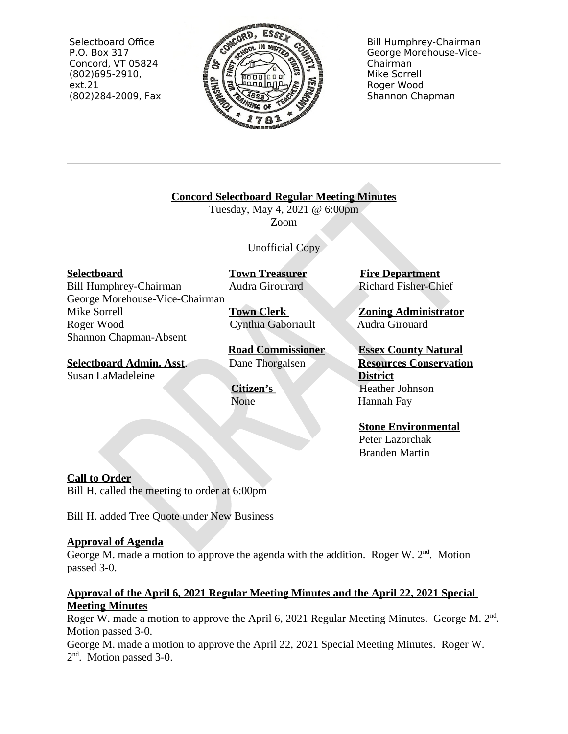Selectboard Office P.O. Box 317 Concord, VT 05824  $(802)695-2910,$  $ext.21$ (802)284-2009, Fax



**Bill Humphrey-Chairman** George Morehouse-Vice-Chairman Mike Sorrell Roger Wood Shannon Chapman

**Concord Selectboard Regular Meeting Minutes** 

Tuesday, May 4, 2021 @ 6:00pm Zoom

Unofficial Copy

# **Selectboard**

**Bill Humphrey-Chairman** George Morehouse-Vice-Chairman Mike Sorrell Roger Wood Shannon Chapman-Absent

**Selectboard Admin. Asst.** 

Susan LaMadeleine

**Town Clerk** Cynthia Gaboriault

**Town Treasurer** 

Audra Girourard

**Road Commissioner** Dane Thorgalsen

Citizen's None

**Fire Department Richard Fisher-Chief** 

**Zoning Administrator** Audra Girouard

**Essex County Natural Resources Conservation District Heather Johnson** Hannah Fay

**Stone Environmental** Peter Lazorchak **Branden Martin** 

# **Call to Order**

Bill H. called the meeting to order at 6:00pm

Bill H. added Tree Quote under New Business

# **Approval of Agenda**

George M. made a motion to approve the agenda with the addition. Roger W.  $2<sup>nd</sup>$ . Motion passed 3-0.

# Approval of the April 6, 2021 Regular Meeting Minutes and the April 22, 2021 Special **Meeting Minutes**

Roger W, made a motion to approve the April 6, 2021 Regular Meeting Minutes. George M,  $2<sup>nd</sup>$ . Motion passed 3-0.

George M. made a motion to approve the April 22, 2021 Special Meeting Minutes. Roger W.  $2<sup>nd</sup>$ . Motion passed 3-0.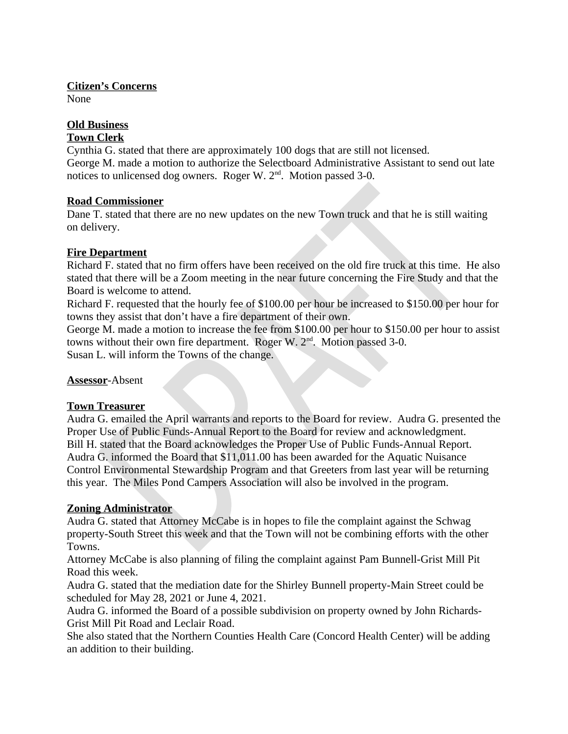# **Citizen's Concerns**

**None** 

# **Old Business**

# **Town Clerk**

Cynthia G. stated that there are approximately 100 dogs that are still not licensed.

George M. made a motion to authorize the Selectboard Administrative Assistant to send out late notices to unlicensed dog owners. Roger W. 2<sup>nd</sup>. Motion passed 3-0.

# **Road Commissioner**

Dane T. stated that there are no new updates on the new Town truck and that he is still waiting on delivery.

#### **Fire Department**

Richard F. stated that no firm offers have been received on the old fire truck at this time. He also stated that there will be a Zoom meeting in the near future concerning the Fire Study and that the Board is welcome to attend.

Richard F. requested that the hourly fee of \$100.00 per hour be increased to \$150.00 per hour for towns they assist that don't have a fire department of their own.

George M. made a motion to increase the fee from \$100.00 per hour to \$150.00 per hour to assist towns without their own fire department. Roger W. 2<sup>nd</sup>. Motion passed 3-0. Susan L. will inform the Towns of the change.

# **Assessor-Absent**

# **Town Treasurer**

Audra G. emailed the April warrants and reports to the Board for review. Audra G. presented the Proper Use of Public Funds-Annual Report to the Board for review and acknowledgment. Bill H. stated that the Board acknowledges the Proper Use of Public Funds-Annual Report. Audra G. informed the Board that \$11,011.00 has been awarded for the Aquatic Nuisance Control Environmental Stewardship Program and that Greeters from last year will be returning this year. The Miles Pond Campers Association will also be involved in the program.

# **Zoning Administrator**

Audra G. stated that Attorney McCabe is in hopes to file the complaint against the Schwag property-South Street this week and that the Town will not be combining efforts with the other Towns.

Attorney McCabe is also planning of filing the complaint against Pam Bunnell-Grist Mill Pit Road this week.

Audra G. stated that the mediation date for the Shirley Bunnell property-Main Street could be scheduled for May 28, 2021 or June 4, 2021.

Audra G. informed the Board of a possible subdivision on property owned by John Richards-Grist Mill Pit Road and Leclair Road.

She also stated that the Northern Counties Health Care (Concord Health Center) will be adding an addition to their building.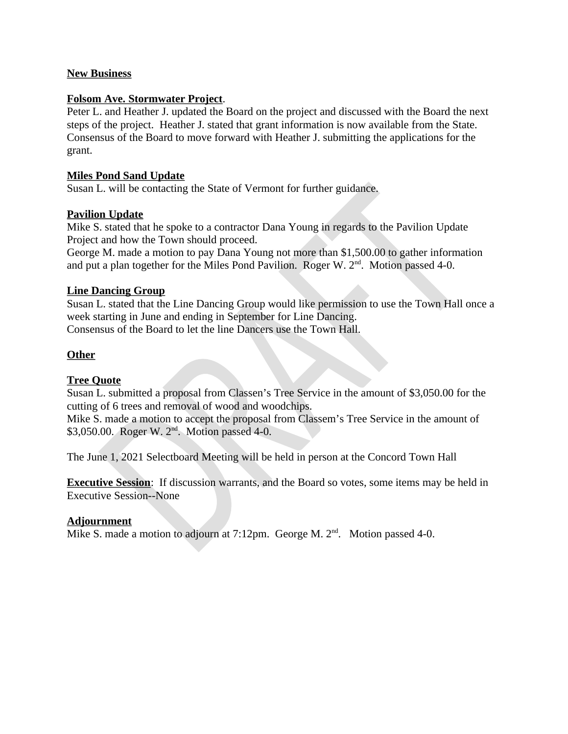#### **New Business**

#### **Folsom Ave. Stormwater Project.**

Peter L. and Heather J. updated the Board on the project and discussed with the Board the next steps of the project. Heather J. stated that grant information is now available from the State. Consensus of the Board to move forward with Heather J. submitting the applications for the grant.

#### **Miles Pond Sand Update**

Susan L. will be contacting the State of Vermont for further guidance.

#### **Pavilion Update**

Mike S. stated that he spoke to a contractor Dana Young in regards to the Pavilion Update Project and how the Town should proceed.

George M. made a motion to pay Dana Young not more than \$1,500.00 to gather information and put a plan together for the Miles Pond Pavilion. Roger W.  $2<sup>nd</sup>$ . Motion passed 4-0.

#### **Line Dancing Group**

Susan L. stated that the Line Dancing Group would like permission to use the Town Hall once a week starting in June and ending in September for Line Dancing. Consensus of the Board to let the line Dancers use the Town Hall.

#### **Other**

#### **Tree Quote**

Susan L. submitted a proposal from Classen's Tree Service in the amount of \$3,050.00 for the cutting of 6 trees and removal of wood and woodchips.

Mike S. made a motion to accept the proposal from Classem's Tree Service in the amount of \$3,050.00. Roger W. 2<sup>nd</sup>. Motion passed 4-0.

The June 1, 2021 Selectboard Meeting will be held in person at the Concord Town Hall

**Executive Session:** If discussion warrants, and the Board so votes, some items may be held in **Executive Session--None** 

#### **Adiournment**

Mike S. made a motion to adjourn at 7:12pm. George M. 2<sup>nd</sup>. Motion passed 4-0.